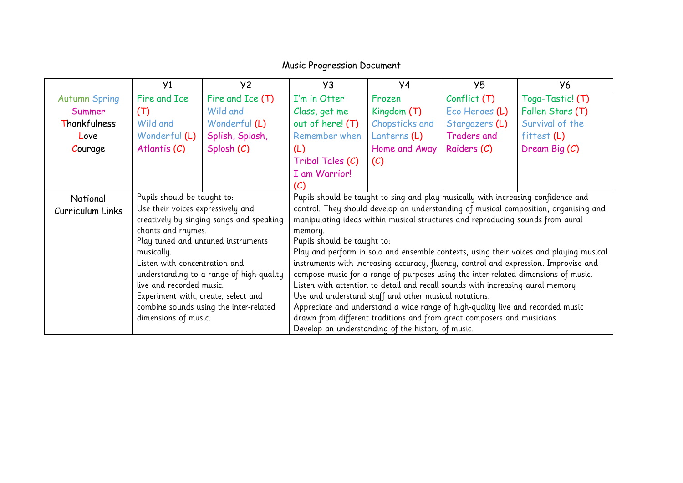## Music Progression Document

|                      | Y <sub>1</sub>                      | Y2                                       | Y3                                                                                   | Y4             | Y5                                                                             | У6                                                                                     |  |
|----------------------|-------------------------------------|------------------------------------------|--------------------------------------------------------------------------------------|----------------|--------------------------------------------------------------------------------|----------------------------------------------------------------------------------------|--|
| <b>Autumn Spring</b> | Fire and Ice                        | Fire and Ice (T)                         | I'm in Otter                                                                         | Frozen         | Conflict(T)                                                                    | Toga-Tastic! (T)                                                                       |  |
| Summer               | (T)                                 | Wild and                                 | Class, get me                                                                        | Kingdom $(T)$  | Eco Heroes (L)                                                                 | Fallen Stars (T)                                                                       |  |
| Thankfulness         | Wild and                            | Wonderful (L)                            | out of here! (T)                                                                     | Chopsticks and | Stargazers (L)                                                                 | Survival of the                                                                        |  |
| Love                 | Wonderful (L)                       | Splish, Splash,                          | Remember when                                                                        | Lanterns (L)   | <b>Traders and</b>                                                             | $f$ ittest $(L)$                                                                       |  |
| Courage              | Atlantis $(C)$                      | Splosh (C)                               | (L)                                                                                  | Home and Away  | Raiders (C)                                                                    | Dream Big (C)                                                                          |  |
|                      |                                     |                                          | Tribal Tales (C)                                                                     | (C)            |                                                                                |                                                                                        |  |
|                      |                                     |                                          | I am Warrior!                                                                        |                |                                                                                |                                                                                        |  |
|                      |                                     |                                          | (C)                                                                                  |                |                                                                                |                                                                                        |  |
| National             | Pupils should be taught to:         |                                          | Pupils should be taught to sing and play musically with increasing confidence and    |                |                                                                                |                                                                                        |  |
| Curriculum Links     | Use their voices expressively and   |                                          | control. They should develop an understanding of musical composition, organising and |                |                                                                                |                                                                                        |  |
|                      |                                     | creatively by singing songs and speaking | manipulating ideas within musical structures and reproducing sounds from aural       |                |                                                                                |                                                                                        |  |
|                      | chants and rhymes.                  |                                          | memory.                                                                              |                |                                                                                |                                                                                        |  |
|                      | Play tuned and untuned instruments  |                                          | Pupils should be taught to:                                                          |                |                                                                                |                                                                                        |  |
|                      | musically.                          |                                          |                                                                                      |                |                                                                                | Play and perform in solo and ensemble contexts, using their voices and playing musical |  |
|                      | Listen with concentration and       |                                          |                                                                                      |                |                                                                                | instruments with increasing accuracy, fluency, control and expression. Improvise and   |  |
|                      |                                     | understanding to a range of high-quality |                                                                                      |                |                                                                                | compose music for a range of purposes using the inter-related dimensions of music.     |  |
|                      | live and recorded music.            |                                          | Listen with attention to detail and recall sounds with increasing aural memory       |                |                                                                                |                                                                                        |  |
|                      | Experiment with, create, select and |                                          | Use and understand staff and other musical notations.                                |                |                                                                                |                                                                                        |  |
|                      |                                     | combine sounds using the inter-related   |                                                                                      |                | Appreciate and understand a wide range of high-quality live and recorded music |                                                                                        |  |
|                      | dimensions of music.                |                                          |                                                                                      |                | drawn from different traditions and from great composers and musicians         |                                                                                        |  |
|                      |                                     |                                          | Develop an understanding of the history of music.                                    |                |                                                                                |                                                                                        |  |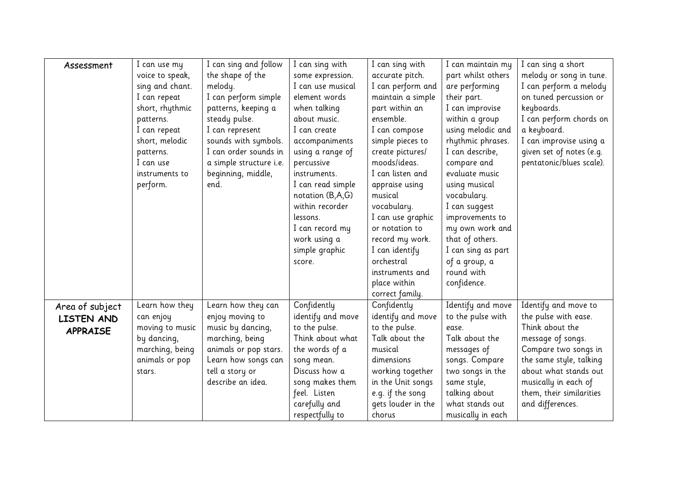| Assessment      | I can use my    | I can sing and follow   | I can sing with   | I can sing with                     | I can maintain my  | I can sing a short       |
|-----------------|-----------------|-------------------------|-------------------|-------------------------------------|--------------------|--------------------------|
|                 | voice to speak, | the shape of the        | some expression.  | accurate pitch.                     | part whilst others | melody or song in tune.  |
|                 | sing and chant. | melody.                 | I can use musical | I can perform and<br>are performing |                    | I can perform a melody   |
|                 | I can repeat    | I can perform simple    | element words     | maintain a simple<br>their part.    |                    | on tuned percussion or   |
|                 | short, rhythmic | patterns, keeping a     | when talking      | part within an                      | I can improvise    | keyboards.               |
|                 | patterns.       | steady pulse.           | about music.      | ensemble.                           | within a group     | I can perform chords on  |
|                 | I can repeat    | I can represent         | I can create      | I can compose                       | using melodic and  | a keyboard.              |
|                 | short, melodic  | sounds with symbols.    | accompaniments    | simple pieces to                    | rhythmic phrases.  | I can improvise using a  |
|                 | patterns.       | I can order sounds in   | using a range of  | create pictures/                    | I can describe,    | given set of notes (e.g. |
|                 | I can use       | a simple structure i.e. | percussive        | moods/ideas.                        | compare and        | pentatonic/blues scale). |
|                 | instruments to  | beginning, middle,      | instruments.      | I can listen and                    | evaluate music     |                          |
|                 | perform.        | end.                    | I can read simple | appraise using                      | using musical      |                          |
|                 |                 |                         | notation (B,A,G)  | musical                             | vocabulary.        |                          |
|                 |                 |                         | within recorder   | vocabulary.                         | I can suggest      |                          |
|                 |                 |                         | lessons.          | I can use graphic                   | improvements to    |                          |
|                 |                 |                         | I can record my   | or notation to                      | my own work and    |                          |
|                 |                 |                         | work using a      | record my work.                     | that of others.    |                          |
|                 |                 |                         | simple graphic    | I can identify                      | I can sing as part |                          |
|                 |                 |                         | score.            | orchestral                          | of a group, a      |                          |
|                 |                 |                         |                   | instruments and                     | round with         |                          |
|                 |                 |                         |                   | place within                        | confidence.        |                          |
|                 |                 |                         |                   | correct family.                     |                    |                          |
| Area of subject | Learn how they  | Learn how they can      | Confidently       | Confidently                         | Identify and move  | Identify and move to     |
| LISTEN AND      | can enjoy       | enjoy moving to         | identify and move | identify and move                   | to the pulse with  | the pulse with ease.     |
| <b>APPRAISE</b> | moving to music | music by dancing,       | to the pulse.     | to the pulse.                       | ease.              | Think about the          |
|                 | by dancing,     | marching, being         | Think about what  | Talk about the                      | Talk about the     | message of songs.        |
|                 | marching, being | animals or pop stars.   | the words of a    | musical                             | messages of        | Compare two songs in     |
|                 | animals or pop  | Learn how songs can     | song mean.        | dimensions                          | songs. Compare     | the same style, talking  |
|                 | stars.          | tell a story or         | Discuss how a     | working together                    | two songs in the   | about what stands out    |
|                 |                 | describe an idea.       | song makes them   | in the Unit songs                   | same style,        | musically in each of     |
|                 |                 |                         | feel. Listen      | e.g. if the song                    | talking about      | them, their similarities |
|                 |                 |                         | carefully and     | gets louder in the                  | what stands out    | and differences.         |
|                 |                 |                         | respectfully to   | chorus                              | musically in each  |                          |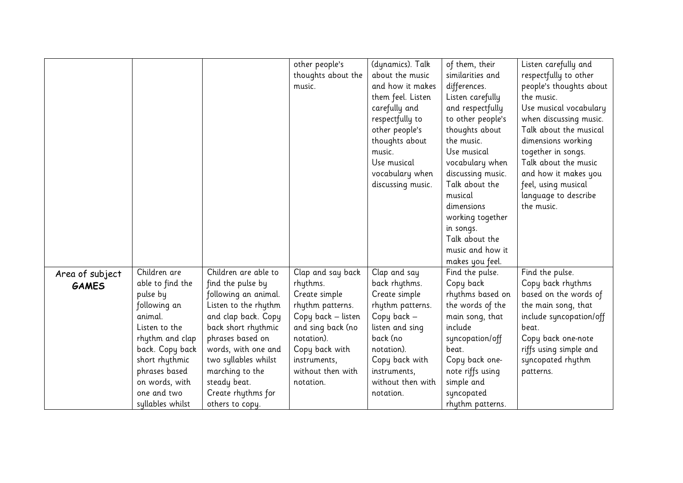|                 |                  |                      | other people's     | (dynamics). Talk  | of them, their    | Listen carefully and    |
|-----------------|------------------|----------------------|--------------------|-------------------|-------------------|-------------------------|
|                 |                  |                      | thoughts about the | about the music   | similarities and  | respectfully to other   |
|                 |                  |                      | music.             | and how it makes  | differences.      | people's thoughts about |
|                 |                  |                      |                    | them feel. Listen | Listen carefully  | the music.              |
|                 |                  |                      |                    | carefully and     | and respectfully  | Use musical vocabulary  |
|                 |                  |                      |                    | respectfully to   | to other people's | when discussing music.  |
|                 |                  |                      |                    | other people's    | thoughts about    | Talk about the musical  |
|                 |                  |                      |                    | thoughts about    | the music.        | dimensions working      |
|                 |                  |                      |                    | music.            | Use musical       | together in songs.      |
|                 |                  |                      |                    | Use musical       | vocabulary when   | Talk about the music    |
|                 |                  |                      |                    | vocabulary when   | discussing music. | and how it makes you    |
|                 |                  |                      |                    | discussing music. | Talk about the    | feel, using musical     |
|                 |                  |                      |                    |                   | musical           | language to describe    |
|                 |                  |                      |                    |                   | dimensions        | the music.              |
|                 |                  |                      |                    |                   | working together  |                         |
|                 |                  |                      |                    |                   | in songs.         |                         |
|                 |                  |                      |                    |                   | Talk about the    |                         |
|                 |                  |                      |                    |                   | music and how it  |                         |
|                 |                  |                      |                    |                   | makes you feel.   |                         |
| Area of subject | Children are     | Children are able to | Clap and say back  | Clap and say      | Find the pulse.   | Find the pulse.         |
| <b>GAMES</b>    | able to find the | find the pulse by    | rhythms.           | back rhythms.     | Copy back         | Copy back rhythms       |
|                 | pulse by         | following an animal. | Create simple      | Create simple     | rhythms based on  | based on the words of   |
|                 | following an     | Listen to the rhythm | rhythm patterns.   | rhythm patterns.  | the words of the  | the main song, that     |
|                 | animal.          | and clap back. Copy  | Copy back - listen | Copy back -       | main song, that   | include syncopation/off |
|                 | Listen to the    | back short rhythmic  | and sing back (no  | listen and sing   | include           | beat.                   |
|                 | rhythm and clap  | phrases based on     | notation).         | back (no          | syncopation/off   | Copy back one-note      |
|                 | back. Copy back  | words, with one and  | Copy back with     | notation).        | beat.             | riffs using simple and  |
|                 | short rhythmic   | two syllables whilst | instruments,       | Copy back with    | Copy back one-    | syncopated rhythm       |
|                 | phrases based    | marching to the      | without then with  | instruments,      | note riffs using  | patterns.               |
|                 | on words, with   | steady beat.         | notation.          | without then with | simple and        |                         |
|                 | one and two      | Create rhythms for   |                    | notation.         | syncopated        |                         |
|                 | syllables whilst | others to copy.      |                    |                   | rhythm patterns.  |                         |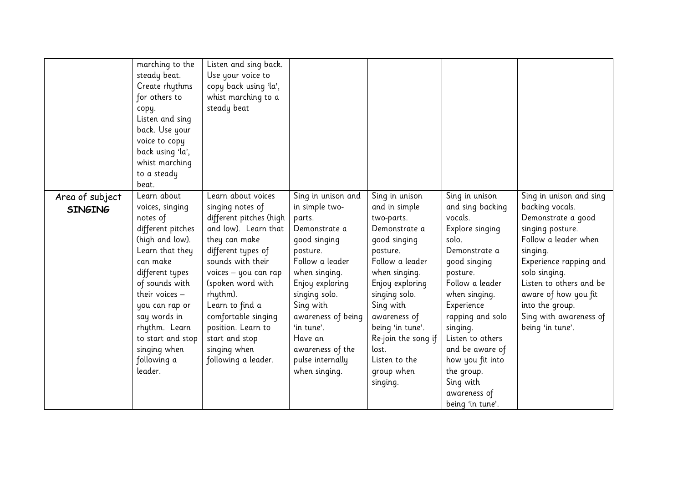|                                   | marching to the<br>steady beat.<br>Create rhythms<br>for others to<br>сору.<br>Listen and sing<br>back. Use your<br>voice to copy<br>back using 'la',<br>whist marching<br>to a steady<br>beat.                                                                                              | Listen and sing back.<br>Use your voice to<br>copy back using 'la',<br>whist marching to a<br>steady beat                                                                                                                                                                                                                               |                                                                                                                                                                                                                                                                                          |                                                                                                                                                                                                                                                                                                |                                                                                                                                                                                                                                                                                                                                    |                                                                                                                                                                                                                                                                                         |
|-----------------------------------|----------------------------------------------------------------------------------------------------------------------------------------------------------------------------------------------------------------------------------------------------------------------------------------------|-----------------------------------------------------------------------------------------------------------------------------------------------------------------------------------------------------------------------------------------------------------------------------------------------------------------------------------------|------------------------------------------------------------------------------------------------------------------------------------------------------------------------------------------------------------------------------------------------------------------------------------------|------------------------------------------------------------------------------------------------------------------------------------------------------------------------------------------------------------------------------------------------------------------------------------------------|------------------------------------------------------------------------------------------------------------------------------------------------------------------------------------------------------------------------------------------------------------------------------------------------------------------------------------|-----------------------------------------------------------------------------------------------------------------------------------------------------------------------------------------------------------------------------------------------------------------------------------------|
| Area of subject<br><b>SINGING</b> | Learn about<br>voices, singing<br>notes of<br>different pitches<br>(high and low).<br>Learn that they<br>can make<br>different types<br>of sounds with<br>their voices $-$<br>you can rap or<br>say words in<br>rhythm. Learn<br>to start and stop<br>singing when<br>following a<br>leader. | Learn about voices<br>singing notes of<br>different pitches (high<br>and low). Learn that<br>they can make<br>different types of<br>sounds with their<br>voices - you can rap<br>(spoken word with<br>rhythm).<br>Learn to find a<br>comfortable singing<br>position. Learn to<br>start and stop<br>singing when<br>following a leader. | Sing in unison and<br>in simple two-<br>parts.<br>Demonstrate a<br>good singing<br>posture.<br>Follow a leader<br>when singing.<br>Enjoy exploring<br>singing solo.<br>Sing with<br>awareness of being<br>'in tune'.<br>Have an<br>awareness of the<br>pulse internally<br>when singing. | Sing in unison<br>and in simple<br>two-parts.<br>Demonstrate a<br>good singing<br>posture.<br>Follow a leader<br>when singing.<br>Enjoy exploring<br>singing solo.<br>Sing with<br>awareness of<br>being 'in tune'.<br>Re-join the song if<br>lost.<br>Listen to the<br>group when<br>singing. | Sing in unison<br>and sing backing<br>vocals.<br>Explore singing<br>solo.<br>Demonstrate a<br>good singing<br>posture.<br>Follow a leader<br>when singing.<br>Experience<br>rapping and solo<br>singing.<br>Listen to others<br>and be aware of<br>how you fit into<br>the group.<br>Sing with<br>awareness of<br>being 'in tune'. | Sing in unison and sing<br>backing vocals.<br>Demonstrate a good<br>singing posture.<br>Follow a leader when<br>singing.<br>Experience rapping and<br>solo singing.<br>Listen to others and be<br>aware of how you fit<br>into the group.<br>Sing with awareness of<br>being 'in tune'. |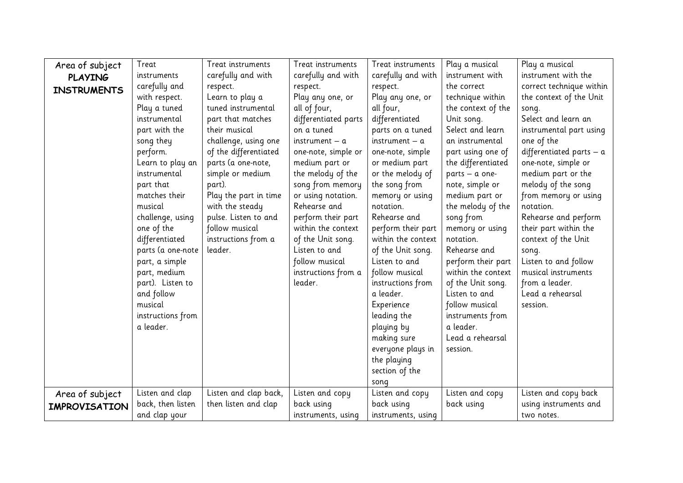| Area of subject      | Treat             | Treat instruments                                | Treat instruments    | Treat instruments  | Play a musical     | Play a musical                                                   |
|----------------------|-------------------|--------------------------------------------------|----------------------|--------------------|--------------------|------------------------------------------------------------------|
| <b>PLAYING</b>       | instruments       | carefully and with                               | carefully and with   | carefully and with | instrument with    | instrument with the                                              |
| <b>INSTRUMENTS</b>   | carefully and     | respect.                                         | respect.             | respect.           | the correct        | correct technique within                                         |
|                      | with respect.     | Learn to play a                                  | Play any one, or     | Play any one, or   | technique within   | the context of the Unit                                          |
|                      | Play a tuned      | tuned instrumental                               | all of four,         | all four,          | the context of the | song.                                                            |
|                      | instrumental      | part that matches                                | differentiated parts | differentiated     | Unit song.         | Select and learn an                                              |
|                      | part with the     | their musical                                    | on a tuned           | parts on a tuned   | Select and learn   | instrumental part using                                          |
|                      | song they         | challenge, using one                             | $instrument - a$     | $instrument - a$   | an instrumental    | one of the                                                       |
|                      | perform.          | of the differentiated                            | one-note, simple or  | one-note, simple   | part using one of  | differentiated parts $-$ a                                       |
|                      | Learn to play an  | parts (a one-note,<br>simple or medium<br>part). | medium part or       | or medium part     | the differentiated | one-note, simple or                                              |
|                      | instrumental      |                                                  | the melody of the    | or the melody of   | parts - a one-     | medium part or the<br>melody of the song<br>from memory or using |
|                      | part that         |                                                  | song from memory     | the song from      | note, simple or    |                                                                  |
|                      | matches their     | Play the part in time                            | or using notation.   | memory or using    | medium part or     |                                                                  |
|                      | musical           | with the steady                                  | Rehearse and         | notation.          | the melody of the  | notation.                                                        |
|                      | challenge, using  | pulse. Listen to and                             | perform their part   | Rehearse and       | song from          | Rehearse and perform                                             |
|                      | one of the        | follow musical                                   | within the context   | perform their part | memory or using    | their part within the                                            |
|                      | differentiated    | instructions from a                              | of the Unit song.    | within the context | notation.          | context of the Unit                                              |
|                      | parts (a one-note | leader.                                          | Listen to and        | of the Unit song.  | Rehearse and       | song.                                                            |
|                      | part, a simple    |                                                  | follow musical       | Listen to and      | perform their part | Listen to and follow                                             |
|                      | part, medium      |                                                  | instructions from a  | follow musical     | within the context | musical instruments                                              |
|                      | part). Listen to  |                                                  | leader.              | instructions from  | of the Unit song.  | from a leader.                                                   |
|                      | and follow        |                                                  |                      | a leader.          | Listen to and      | Lead a rehearsal                                                 |
|                      | musical           |                                                  |                      | Experience         | follow musical     | session.                                                         |
|                      | instructions from |                                                  |                      | leading the        | instruments from   |                                                                  |
|                      | a leader.         |                                                  |                      | playing by         | a leader.          |                                                                  |
|                      |                   |                                                  |                      | making sure        | Lead a rehearsal   |                                                                  |
|                      |                   |                                                  |                      | everyone plays in  | session.           |                                                                  |
|                      |                   |                                                  |                      | the playing        |                    |                                                                  |
|                      |                   |                                                  |                      | section of the     |                    |                                                                  |
|                      |                   |                                                  |                      | song               |                    |                                                                  |
| Area of subject      | Listen and clap   | Listen and clap back,                            | Listen and copy      | Listen and copy    | Listen and copy    | Listen and copy back                                             |
| <b>IMPROVISATION</b> | back, then listen | then listen and clap                             | back using           | back using         | back using         | using instruments and                                            |
|                      | and clap your     |                                                  | instruments, using   | instruments, using |                    | two notes.                                                       |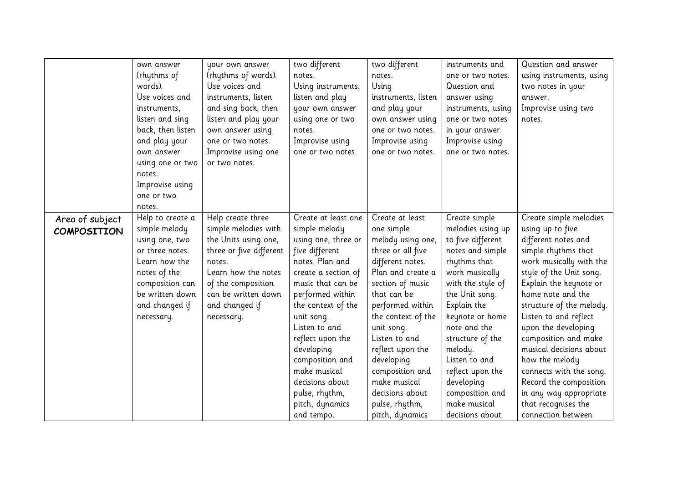|                    | own answer        | your own answer         | two different       | two different       | instruments and    | Question and answer      |
|--------------------|-------------------|-------------------------|---------------------|---------------------|--------------------|--------------------------|
|                    | (rhythms of       | (rhythms of words).     | notes.              | notes.              | one or two notes.  | using instruments, using |
|                    | words).           | Use voices and          | Using instruments,  | Using               | Question and       | two notes in your        |
|                    | Use voices and    | instruments, listen     | listen and play     | instruments, listen | answer using       | answer.                  |
|                    | instruments,      | and sing back, then     | your own answer     | and play your       | instruments, using | Improvise using two      |
|                    | listen and sing   | listen and play your    | using one or two    | own answer using    | one or two notes   | notes.                   |
|                    | back, then listen | own answer using        | notes.              | one or two notes.   | in your answer.    |                          |
|                    | and play your     | one or two notes.       | Improvise using     | Improvise using     | Improvise using    |                          |
|                    | own answer        | Improvise using one     | one or two notes.   | one or two notes.   | one or two notes.  |                          |
|                    | using one or two  | or two notes.           |                     |                     |                    |                          |
|                    | notes.            |                         |                     |                     |                    |                          |
|                    | Improvise using   |                         |                     |                     |                    |                          |
|                    | one or two        |                         |                     |                     |                    |                          |
|                    | notes.            |                         |                     |                     |                    |                          |
| Area of subject    | Help to create a  | Help create three       | Create at least one | Create at least     | Create simple      | Create simple melodies   |
| <b>COMPOSITION</b> | simple melody     | simple melodies with    | simple melody       | one simple          | melodies using up  | using up to five         |
|                    | using one, two    | the Units using one,    | using one, three or | melody using one,   | to five different  | different notes and      |
|                    | or three notes.   | three or five different | five different      | three or all five   | notes and simple   | simple rhythms that      |
|                    | Learn how the     | notes.                  | notes. Plan and     | different notes.    | rhythms that       | work musically with the  |
|                    | notes of the      | Learn how the notes     | create a section of | Plan and create a   | work musically     | style of the Unit song.  |
|                    | composition can   | of the composition      | music that can be   | section of music    | with the style of  | Explain the keynote or   |
|                    | be written down   | can be written down     | performed within    | that can be         | the Unit song.     | home note and the        |
|                    | and changed if    | and changed if          | the context of the  | performed within    | Explain the        | structure of the melody. |
|                    | necessary.        | necessary.              | unit song.          | the context of the  | keynote or home    | Listen to and reflect    |
|                    |                   |                         | Listen to and       | unit song.          | note and the       | upon the developing      |
|                    |                   |                         | reflect upon the    | Listen to and       | structure of the   | composition and make     |
|                    |                   |                         | developing          | reflect upon the    | melody.            | musical decisions about  |
|                    |                   |                         | composition and     | developing          | Listen to and      | how the melody           |
|                    |                   |                         | make musical        | composition and     | reflect upon the   | connects with the song.  |
|                    |                   |                         | decisions about     | make musical        | developing         | Record the composition   |
|                    |                   |                         | pulse, rhythm,      | decisions about     | composition and    | in any way appropriate   |
|                    |                   |                         | pitch, dynamics     | pulse, rhythm,      | make musical       | that recognises the      |
|                    |                   |                         | and tempo.          | pitch, dynamics     | decisions about    | connection between       |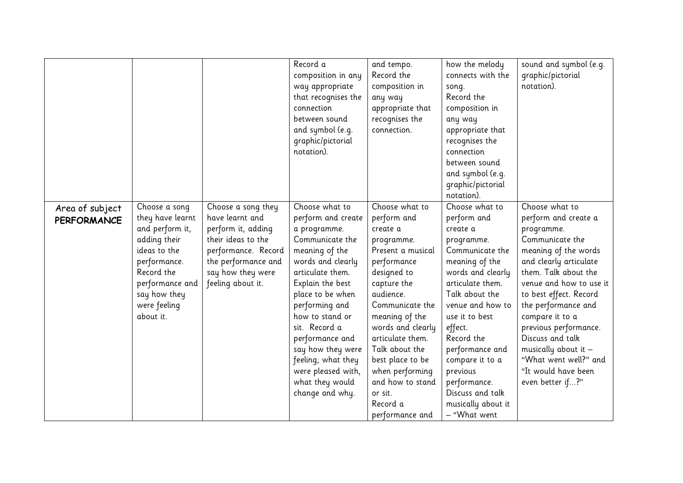|                                       |                                                                                                                                                                                    |                                                                                                                                                                           | Record a<br>composition in any<br>way appropriate<br>that recognises the<br>connection<br>between sound<br>and symbol (e.g.<br>graphic/pictorial<br>notation).                                                                                                                                                                                             | and tempo.<br>Record the<br>composition in<br>any way<br>appropriate that<br>recognises the<br>connection.                                                                                                                                                                                                                                  | how the melody<br>connects with the<br>song.<br>Record the<br>composition in<br>any way<br>appropriate that<br>recognises the<br>connection<br>between sound<br>and symbol (e.g.<br>graphic/pictorial<br>notation).                                                                                                                                | sound and symbol (e.g.<br>graphic/pictorial<br>notation).                                                                                                                                                                                                                                                                                                                                 |
|---------------------------------------|------------------------------------------------------------------------------------------------------------------------------------------------------------------------------------|---------------------------------------------------------------------------------------------------------------------------------------------------------------------------|------------------------------------------------------------------------------------------------------------------------------------------------------------------------------------------------------------------------------------------------------------------------------------------------------------------------------------------------------------|---------------------------------------------------------------------------------------------------------------------------------------------------------------------------------------------------------------------------------------------------------------------------------------------------------------------------------------------|----------------------------------------------------------------------------------------------------------------------------------------------------------------------------------------------------------------------------------------------------------------------------------------------------------------------------------------------------|-------------------------------------------------------------------------------------------------------------------------------------------------------------------------------------------------------------------------------------------------------------------------------------------------------------------------------------------------------------------------------------------|
| Area of subject<br><b>PERFORMANCE</b> | Choose a song<br>they have learnt<br>and perform it,<br>adding their<br>ideas to the<br>performance.<br>Record the<br>performance and<br>say how they<br>were feeling<br>about it. | Choose a song they<br>have learnt and<br>perform it, adding<br>their ideas to the<br>performance. Record<br>the performance and<br>say how they were<br>feeling about it. | Choose what to<br>perform and create<br>a programme.<br>Communicate the<br>meaning of the<br>words and clearly<br>articulate them.<br>Explain the best<br>place to be when<br>performing and<br>how to stand or<br>sit. Record a<br>performance and<br>say how they were<br>feeling, what they<br>were pleased with,<br>what they would<br>change and why. | Choose what to<br>perform and<br>create a<br>programme.<br>Present a musical<br>performance<br>designed to<br>capture the<br>audience.<br>Communicate the<br>meaning of the<br>words and clearly<br>articulate them.<br>Talk about the<br>best place to be<br>when performing<br>and how to stand<br>or sit.<br>Record a<br>performance and | Choose what to<br>perform and<br>create a<br>programme.<br>Communicate the<br>meaning of the<br>words and clearly<br>articulate them.<br>Talk about the<br>venue and how to<br>use it to best<br>effect.<br>Record the<br>performance and<br>compare it to a<br>previous<br>performance.<br>Discuss and talk<br>musically about it<br>- "What went | Choose what to<br>perform and create a<br>programme.<br>Communicate the<br>meaning of the words<br>and clearly articulate<br>them. Talk about the<br>venue and how to use it<br>to best effect. Record<br>the performance and<br>compare it to a<br>previous performance.<br>Discuss and talk<br>musically about it -<br>"What went well?" and<br>"It would have been<br>even better if?" |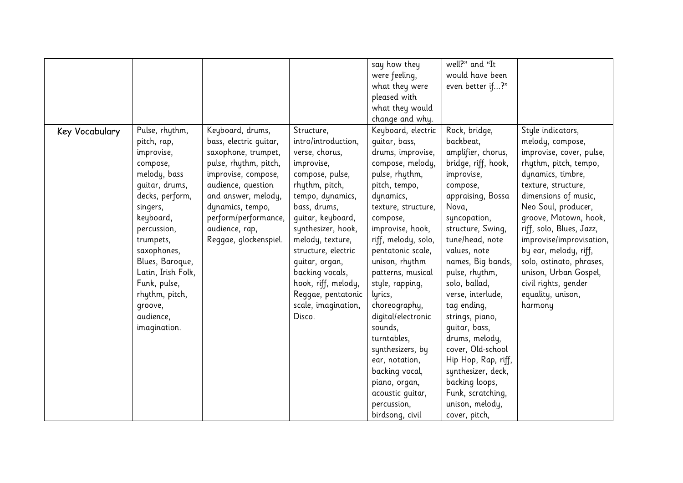|                |                                                                                                                                                                                                                                                                                                     |                                                                                                                                                                                                                                                       |                                                                                                                                                                                                                                                                                                                                                     | say how they<br>were feeling,<br>what they were<br>pleased with<br>what they would<br>change and why.                                                                                                                                                                                                                                                                                                                                                                                                | well?" and "It<br>would have been<br>even better if?"                                                                                                                                                                                                                                                                                                                                                                                                                                                  |                                                                                                                                                                                                                                                                                                                                                                                                              |
|----------------|-----------------------------------------------------------------------------------------------------------------------------------------------------------------------------------------------------------------------------------------------------------------------------------------------------|-------------------------------------------------------------------------------------------------------------------------------------------------------------------------------------------------------------------------------------------------------|-----------------------------------------------------------------------------------------------------------------------------------------------------------------------------------------------------------------------------------------------------------------------------------------------------------------------------------------------------|------------------------------------------------------------------------------------------------------------------------------------------------------------------------------------------------------------------------------------------------------------------------------------------------------------------------------------------------------------------------------------------------------------------------------------------------------------------------------------------------------|--------------------------------------------------------------------------------------------------------------------------------------------------------------------------------------------------------------------------------------------------------------------------------------------------------------------------------------------------------------------------------------------------------------------------------------------------------------------------------------------------------|--------------------------------------------------------------------------------------------------------------------------------------------------------------------------------------------------------------------------------------------------------------------------------------------------------------------------------------------------------------------------------------------------------------|
| Key Vocabulary | Pulse, rhythm,<br>pitch, rap,<br>improvise,<br>compose,<br>melody, bass<br>quitar, drums,<br>decks, perform,<br>singers,<br>keyboard,<br>percussion,<br>trumpets,<br>saxophones,<br>Blues, Baroque,<br>Latin, Irish Folk,<br>Funk, pulse,<br>rhythm, pitch,<br>groove,<br>audience,<br>imagination. | Keyboard, drums,<br>bass, electric guitar,<br>saxophone, trumpet,<br>pulse, rhythm, pitch,<br>improvise, compose,<br>audience, question<br>and answer, melody,<br>dynamics, tempo,<br>perform/performance,<br>audience, rap,<br>Reggae, glockenspiel. | Structure,<br>intro/introduction,<br>verse, chorus,<br>improvise,<br>compose, pulse,<br>rhythm, pitch,<br>tempo, dynamics,<br>bass, drums,<br>guitar, keyboard,<br>synthesizer, hook,<br>melody, texture,<br>structure, electric<br>quitar, organ,<br>backing vocals,<br>hook, riff, melody,<br>Reggae, pentatonic<br>scale, imagination,<br>Disco. | Keyboard, electric<br>quitar, bass,<br>drums, improvise,<br>compose, melody,<br>pulse, rhythm,<br>pitch, tempo,<br>dynamics,<br>texture, structure,<br>compose,<br>improvise, hook,<br>riff, melody, solo,<br>pentatonic scale,<br>unison, rhythm<br>patterns, musical<br>style, rapping,<br>lyrics,<br>choreography,<br>digital/electronic<br>sounds,<br>turntables,<br>synthesizers, by<br>ear, notation,<br>backing vocal,<br>piano, organ,<br>acoustic quitar,<br>percussion,<br>birdsong, civil | Rock, bridge,<br>backbeat,<br>amplifier, chorus,<br>bridge, riff, hook,<br>improvise,<br>compose,<br>appraising, Bossa<br>Nova,<br>syncopation,<br>structure, Swing,<br>tune/head, note<br>values, note<br>names, Big bands,<br>pulse, rhythm,<br>solo, ballad,<br>verse, interlude,<br>tag ending,<br>strings, piano,<br>guitar, bass,<br>drums, melody,<br>cover, Old-school<br>Hip Hop, Rap, riff,<br>synthesizer, deck,<br>backing loops,<br>Funk, scratching,<br>unison, melody,<br>cover, pitch, | Style indicators,<br>melody, compose,<br>improvise, cover, pulse,<br>rhythm, pitch, tempo,<br>dynamics, timbre,<br>texture, structure,<br>dimensions of music,<br>Neo Soul, producer,<br>groove, Motown, hook,<br>riff, solo, Blues, Jazz,<br>improvise/improvisation,<br>by ear, melody, riff,<br>solo, ostinato, phrases,<br>unison, Urban Gospel,<br>civil rights, gender<br>equality, unison,<br>harmony |